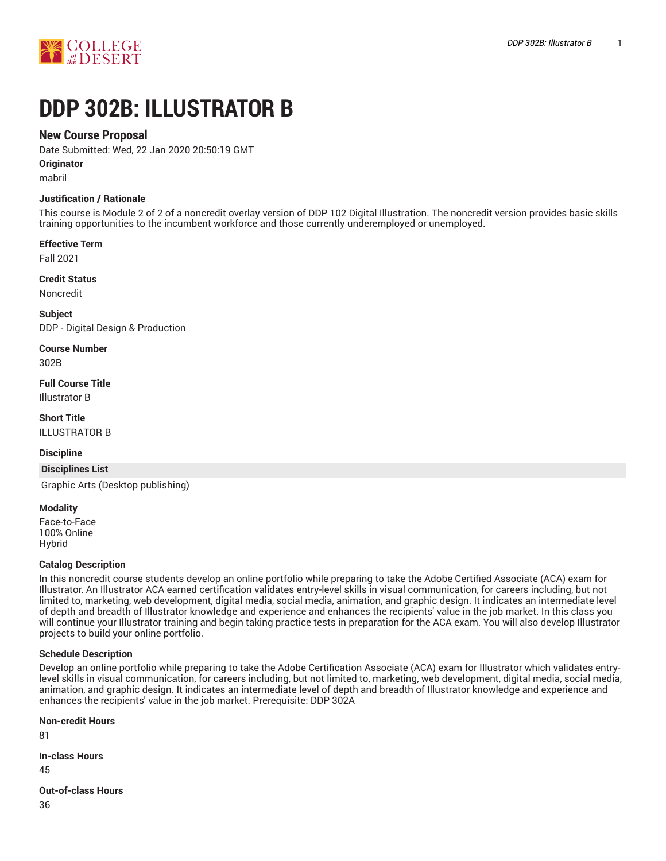

# **DDP 302B: ILLUSTRATOR B**

# **New Course Proposal**

Date Submitted: Wed, 22 Jan 2020 20:50:19 GMT

**Originator**

mabril

# **Justification / Rationale**

This course is Module 2 of 2 of a noncredit overlay version of DDP 102 Digital Illustration. The noncredit version provides basic skills training opportunities to the incumbent workforce and those currently underemployed or unemployed.

# **Effective Term**

Fall 2021

### **Credit Status**

Noncredit

**Subject** DDP - Digital Design & Production

**Course Number**

302B

**Full Course Title** Illustrator B

**Short Title** ILLUSTRATOR B

### **Discipline**

### **Disciplines List**

Graphic Arts (Desktop publishing)

### **Modality**

Face-to-Face 100% Online Hybrid

### **Catalog Description**

In this noncredit course students develop an online portfolio while preparing to take the Adobe Certified Associate (ACA) exam for Illustrator. An Illustrator ACA earned certification validates entry-level skills in visual communication, for careers including, but not limited to, marketing, web development, digital media, social media, animation, and graphic design. It indicates an intermediate level of depth and breadth of Illustrator knowledge and experience and enhances the recipients' value in the job market. In this class you will continue your Illustrator training and begin taking practice tests in preparation for the ACA exam. You will also develop Illustrator projects to build your online portfolio.

# **Schedule Description**

Develop an online portfolio while preparing to take the Adobe Certification Associate (ACA) exam for Illustrator which validates entrylevel skills in visual communication, for careers including, but not limited to, marketing, web development, digital media, social media, animation, and graphic design. It indicates an intermediate level of depth and breadth of Illustrator knowledge and experience and enhances the recipients' value in the job market. Prerequisite: DDP 302A

**Non-credit Hours** 81 **In-class Hours** 45 **Out-of-class Hours** 36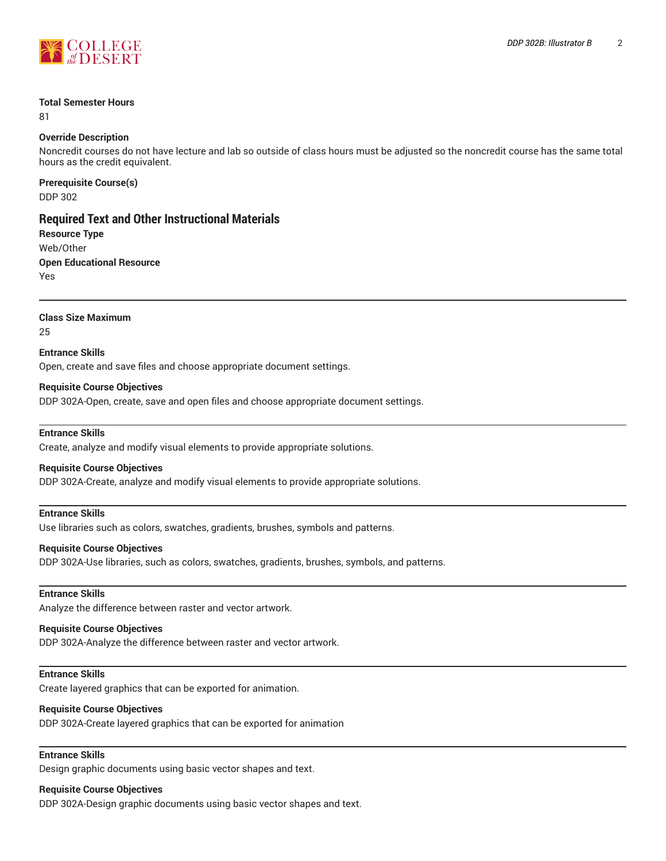

## **Total Semester Hours**

81

# **Override Description**

Noncredit courses do not have lecture and lab so outside of class hours must be adjusted so the noncredit course has the same total hours as the credit equivalent.

**Prerequisite Course(s)** DDP 302

# **Required Text and Other Instructional Materials**

**Resource Type** Web/Other **Open Educational Resource** Yes

**Class Size Maximum**

25

**Entrance Skills**

Open, create and save files and choose appropriate document settings.

# **Requisite Course Objectives**

DDP 302A-Open, create, save and open files and choose appropriate document settings.

## **Entrance Skills**

Create, analyze and modify visual elements to provide appropriate solutions.

### **Requisite Course Objectives**

DDP 302A-Create, analyze and modify visual elements to provide appropriate solutions.

## **Entrance Skills**

Use libraries such as colors, swatches, gradients, brushes, symbols and patterns.

### **Requisite Course Objectives**

DDP 302A-Use libraries, such as colors, swatches, gradients, brushes, symbols, and patterns.

### **Entrance Skills**

Analyze the difference between raster and vector artwork.

## **Requisite Course Objectives**

DDP 302A-Analyze the difference between raster and vector artwork.

## **Entrance Skills**

Create layered graphics that can be exported for animation.

### **Requisite Course Objectives**

DDP 302A-Create layered graphics that can be exported for animation

# **Entrance Skills**

Design graphic documents using basic vector shapes and text.

# **Requisite Course Objectives**

DDP 302A-Design graphic documents using basic vector shapes and text.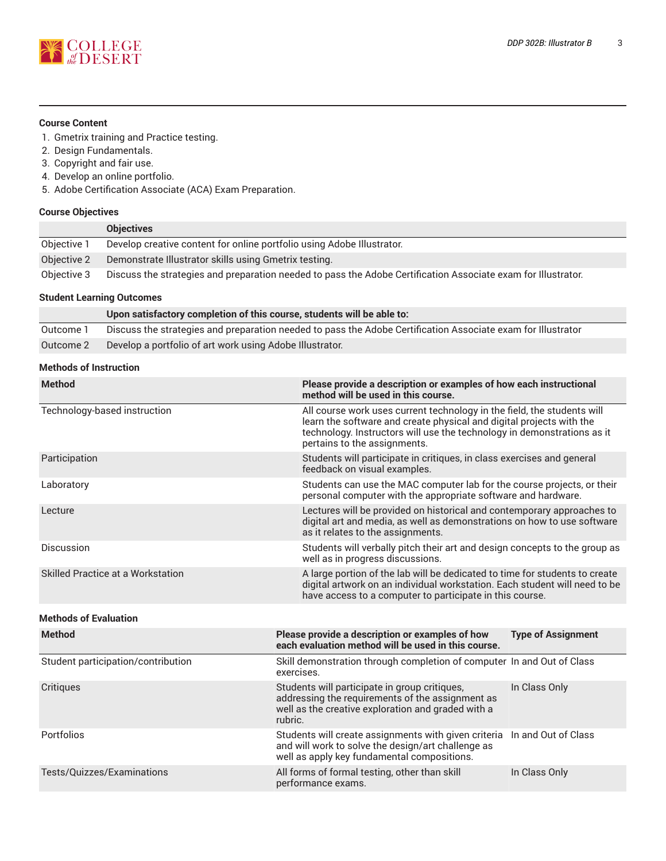

### **Course Content**

- 1. Gmetrix training and Practice testing.
- 2. Design Fundamentals.
- 3. Copyright and fair use.
- 4. Develop an online portfolio.
- 5. Adobe Certification Associate (ACA) Exam Preparation.

# **Course Objectives**

|             | <b>Objectives</b>                                                                                             |
|-------------|---------------------------------------------------------------------------------------------------------------|
| Objective 1 | Develop creative content for online portfolio using Adobe Illustrator.                                        |
| Objective 2 | Demonstrate Illustrator skills using Gmetrix testing.                                                         |
| Objective 3 | Discuss the strategies and preparation needed to pass the Adobe Certification Associate exam for Illustrator. |

# **Student Learning Outcomes**

|           | Upon satisfactory completion of this course, students will be able to:                                       |
|-----------|--------------------------------------------------------------------------------------------------------------|
| Outcome 1 | Discuss the strategies and preparation needed to pass the Adobe Certification Associate exam for Illustrator |
| Outcome 2 | Develop a portfolio of art work using Adobe Illustrator.                                                     |

# **Methods of Instruction**

| <b>Method</b>                      | Please provide a description or examples of how each instructional<br>method will be used in this course.                                                                                                                                                  |                                                                                                                                                                                                                       |  |  |
|------------------------------------|------------------------------------------------------------------------------------------------------------------------------------------------------------------------------------------------------------------------------------------------------------|-----------------------------------------------------------------------------------------------------------------------------------------------------------------------------------------------------------------------|--|--|
| Technology-based instruction       | All course work uses current technology in the field, the students will<br>learn the software and create physical and digital projects with the<br>technology. Instructors will use the technology in demonstrations as it<br>pertains to the assignments. |                                                                                                                                                                                                                       |  |  |
| Participation                      | Students will participate in critiques, in class exercises and general<br>feedback on visual examples.                                                                                                                                                     |                                                                                                                                                                                                                       |  |  |
| Laboratory                         | Students can use the MAC computer lab for the course projects, or their<br>personal computer with the appropriate software and hardware.                                                                                                                   |                                                                                                                                                                                                                       |  |  |
| Lecture                            | Lectures will be provided on historical and contemporary approaches to<br>digital art and media, as well as demonstrations on how to use software<br>as it relates to the assignments.                                                                     |                                                                                                                                                                                                                       |  |  |
| Discussion                         | Students will verbally pitch their art and design concepts to the group as<br>well as in progress discussions.                                                                                                                                             |                                                                                                                                                                                                                       |  |  |
| Skilled Practice at a Workstation  |                                                                                                                                                                                                                                                            | A large portion of the lab will be dedicated to time for students to create<br>digital artwork on an individual workstation. Each student will need to be<br>have access to a computer to participate in this course. |  |  |
| <b>Methods of Evaluation</b>       |                                                                                                                                                                                                                                                            |                                                                                                                                                                                                                       |  |  |
| <b>Method</b>                      | Please provide a description or examples of how<br>each evaluation method will be used in this course.                                                                                                                                                     | <b>Type of Assignment</b>                                                                                                                                                                                             |  |  |
| Student participation/contribution | Skill demonstration through completion of computer In and Out of Class<br>exercises.                                                                                                                                                                       |                                                                                                                                                                                                                       |  |  |
| Critiques                          | Students will participate in group critiques,<br>addressing the requirements of the assignment as<br>well as the creative exploration and graded with a<br>rubric.                                                                                         | In Class Only                                                                                                                                                                                                         |  |  |
| Portfolios                         | Students will create assignments with given criteria<br>and will work to solve the design/art challenge as<br>well as apply key fundamental compositions.                                                                                                  | In and Out of Class                                                                                                                                                                                                   |  |  |
| Tests/Quizzes/Examinations         | All forms of formal testing, other than skill<br>performance exams.                                                                                                                                                                                        | In Class Only                                                                                                                                                                                                         |  |  |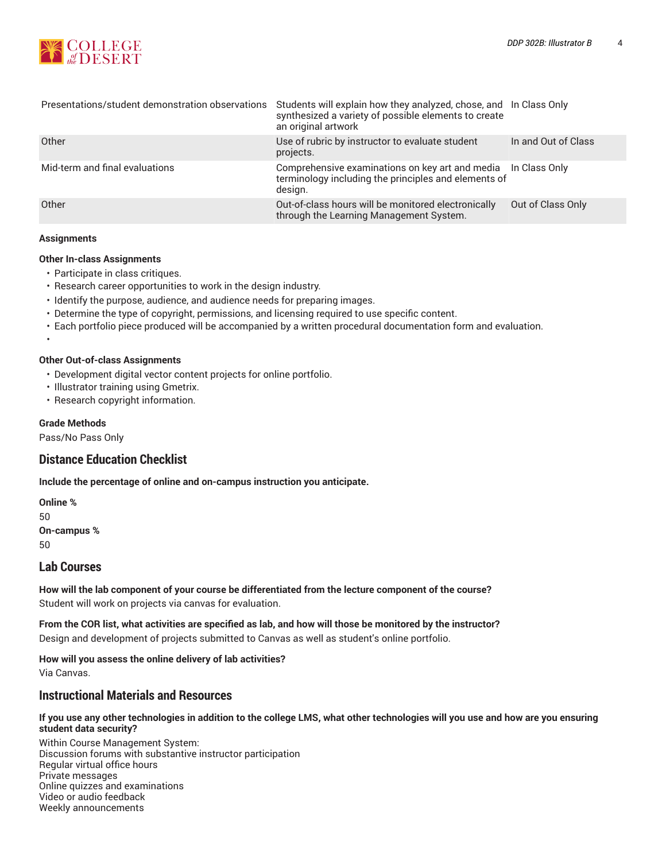

| Presentations/student demonstration observations | Students will explain how they analyzed, chose, and In Class Only<br>synthesized a variety of possible elements to create<br>an original artwork |                     |
|--------------------------------------------------|--------------------------------------------------------------------------------------------------------------------------------------------------|---------------------|
| Other                                            | Use of rubric by instructor to evaluate student<br>projects.                                                                                     | In and Out of Class |
| Mid-term and final evaluations                   | Comprehensive examinations on key art and media In Class Only<br>terminology including the principles and elements of<br>design.                 |                     |
| Other                                            | Out-of-class hours will be monitored electronically<br>through the Learning Management System.                                                   | Out of Class Only   |

#### **Assignments**

•

#### **Other In-class Assignments**

- Participate in class critiques.
- Research career opportunities to work in the design industry.
- Identify the purpose, audience, and audience needs for preparing images.
- Determine the type of copyright, permissions, and licensing required to use specific content.
- Each portfolio piece produced will be accompanied by a written procedural documentation form and evaluation.

#### **Other Out-of-class Assignments**

- Development digital vector content projects for online portfolio.
- Illustrator training using Gmetrix.
- Research copyright information.

#### **Grade Methods**

Pass/No Pass Only

# **Distance Education Checklist**

**Include the percentage of online and on-campus instruction you anticipate.**

**Online %** 50 **On-campus %** 50

# **Lab Courses**

**How will the lab component of your course be differentiated from the lecture component of the course?** Student will work on projects via canvas for evaluation.

From the COR list, what activities are specified as lab, and how will those be monitored by the instructor? Design and development of projects submitted to Canvas as well as student's online portfolio.

**How will you assess the online delivery of lab activities?** Via Canvas.

# **Instructional Materials and Resources**

#### If you use any other technologies in addition to the college LMS, what other technologies will you use and how are you ensuring **student data security?**

Within Course Management System: Discussion forums with substantive instructor participation Regular virtual office hours Private messages Online quizzes and examinations Video or audio feedback Weekly announcements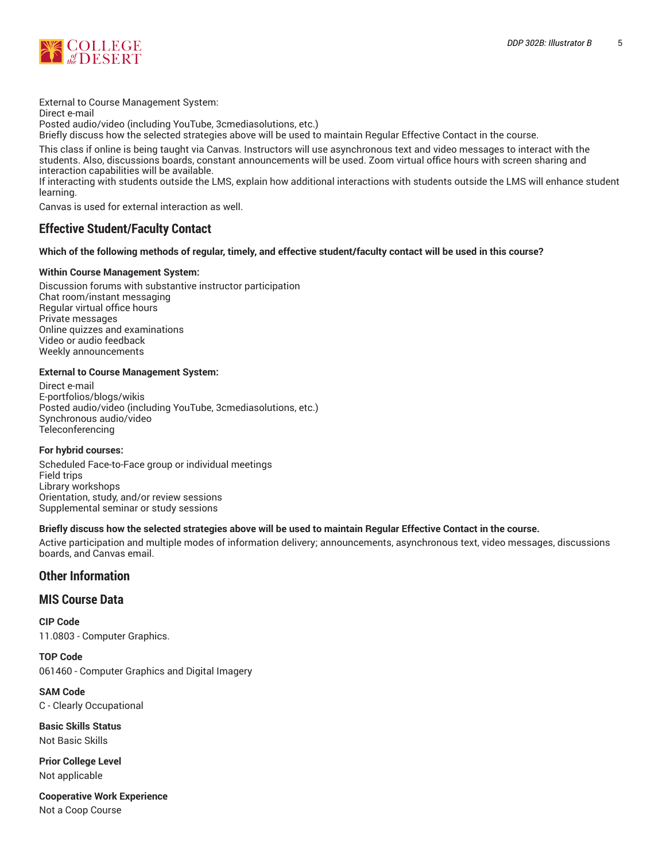

External to Course Management System:

Direct e-mail

Posted audio/video (including YouTube, 3cmediasolutions, etc.)

Briefly discuss how the selected strategies above will be used to maintain Regular Effective Contact in the course.

This class if online is being taught via Canvas. Instructors will use asynchronous text and video messages to interact with the students. Also, discussions boards, constant announcements will be used. Zoom virtual office hours with screen sharing and interaction capabilities will be available.

If interacting with students outside the LMS, explain how additional interactions with students outside the LMS will enhance student learning.

Canvas is used for external interaction as well.

# **Effective Student/Faculty Contact**

# Which of the following methods of regular, timely, and effective student/faculty contact will be used in this course?

# **Within Course Management System:**

Discussion forums with substantive instructor participation Chat room/instant messaging Regular virtual office hours Private messages Online quizzes and examinations Video or audio feedback Weekly announcements

### **External to Course Management System:**

Direct e-mail E-portfolios/blogs/wikis Posted audio/video (including YouTube, 3cmediasolutions, etc.) Synchronous audio/video Teleconferencing

### **For hybrid courses:**

Scheduled Face-to-Face group or individual meetings Field trips Library workshops Orientation, study, and/or review sessions Supplemental seminar or study sessions

# Briefly discuss how the selected strategies above will be used to maintain Regular Effective Contact in the course.

Active participation and multiple modes of information delivery; announcements, asynchronous text, video messages, discussions boards, and Canvas email.

# **Other Information**

# **MIS Course Data**

**CIP Code** 11.0803 - Computer Graphics.

**TOP Code** 061460 - Computer Graphics and Digital Imagery

**SAM Code** C - Clearly Occupational

**Basic Skills Status** Not Basic Skills

**Prior College Level** Not applicable

**Cooperative Work Experience** Not a Coop Course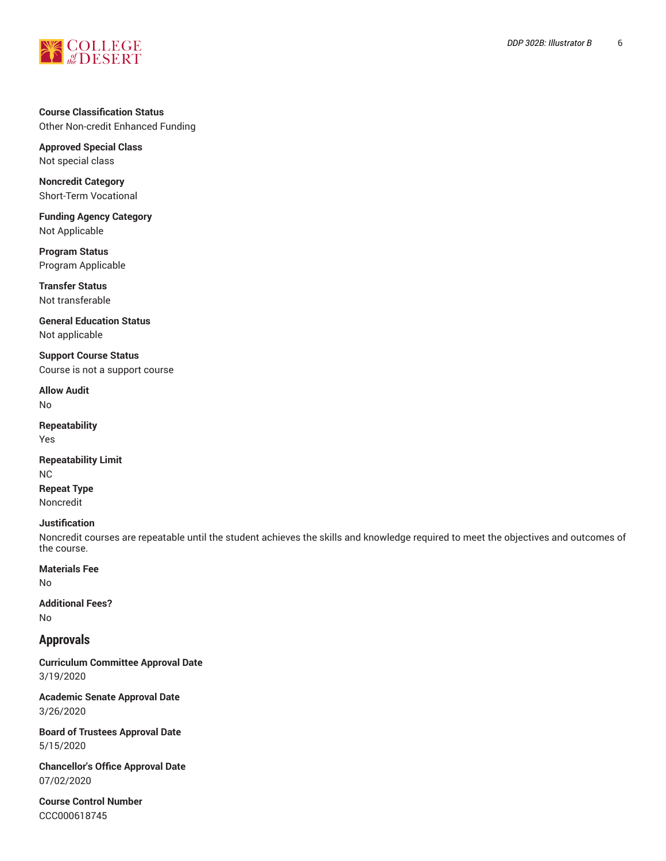

# **Course Classification Status** Other Non-credit Enhanced Funding

**Approved Special Class** Not special class

**Noncredit Category** Short-Term Vocational

**Funding Agency Category** Not Applicable

**Program Status** Program Applicable

**Transfer Status** Not transferable

**General Education Status** Not applicable

**Support Course Status** Course is not a support course

**Allow Audit** No

**Repeatability** Yes

**Repeatability Limit** NC **Repeat Type**

Noncredit

# **Justification**

Noncredit courses are repeatable until the student achieves the skills and knowledge required to meet the objectives and outcomes of the course.

**Materials Fee**

No

**Additional Fees?** No

# **Approvals**

**Curriculum Committee Approval Date** 3/19/2020

**Academic Senate Approval Date** 3/26/2020

**Board of Trustees Approval Date** 5/15/2020

**Chancellor's Office Approval Date** 07/02/2020

**Course Control Number** CCC000618745